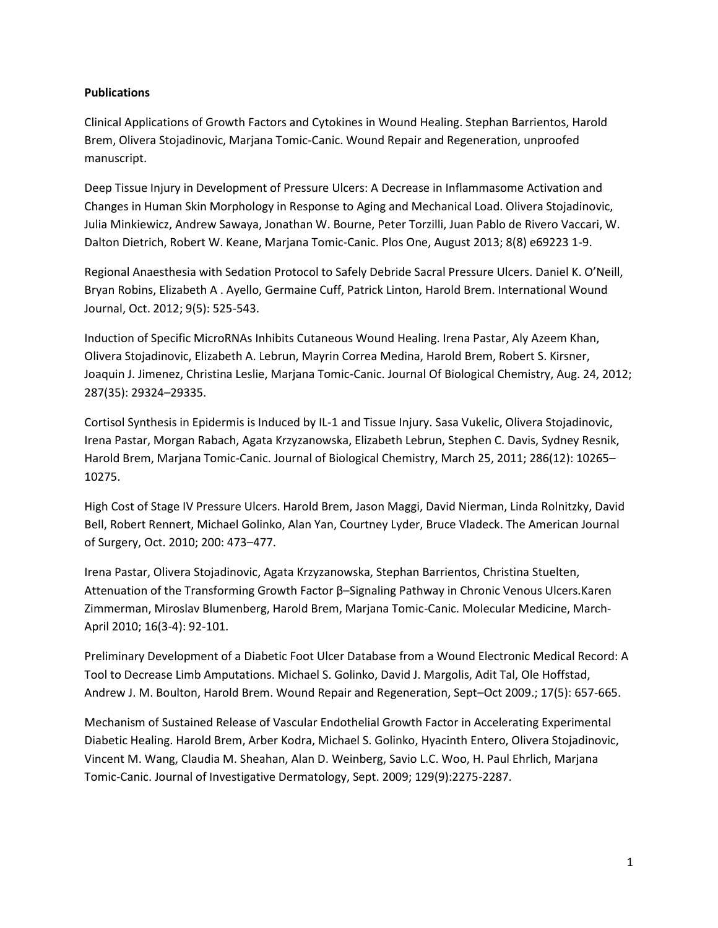## **Publications**

Clinical Applications of Growth Factors and Cytokines in Wound Healing. Stephan Barrientos, Harold Brem, Olivera Stojadinovic, Marjana Tomic-Canic. Wound Repair and Regeneration, unproofed manuscript.

Deep Tissue Injury in Development of Pressure Ulcers: A Decrease in Inflammasome Activation and Changes in Human Skin Morphology in Response to Aging and Mechanical Load. Olivera Stojadinovic, Julia Minkiewicz, Andrew Sawaya, Jonathan W. Bourne, Peter Torzilli, Juan Pablo de Rivero Vaccari, W. Dalton Dietrich, Robert W. Keane, Marjana Tomic-Canic. Plos One, August 2013; 8(8) e69223 1-9.

Regional Anaesthesia with Sedation Protocol to Safely Debride Sacral Pressure Ulcers. Daniel K. O'Neill, Bryan Robins, Elizabeth A . Ayello, Germaine Cuff, Patrick Linton, Harold Brem. International Wound Journal, Oct. 2012; 9(5): 525-543.

Induction of Specific MicroRNAs Inhibits Cutaneous Wound Healing. Irena Pastar, Aly Azeem Khan, Olivera Stojadinovic, Elizabeth A. Lebrun, Mayrin Correa Medina, Harold Brem, Robert S. Kirsner, Joaquin J. Jimenez, Christina Leslie, Marjana Tomic-Canic. Journal Of Biological Chemistry, Aug. 24, 2012; 287(35): 29324–29335.

Cortisol Synthesis in Epidermis is Induced by IL-1 and Tissue Injury. Sasa Vukelic, Olivera Stojadinovic, Irena Pastar, Morgan Rabach, Agata Krzyzanowska, Elizabeth Lebrun, Stephen C. Davis, Sydney Resnik, Harold Brem, Marjana Tomic-Canic. Journal of Biological Chemistry, March 25, 2011; 286(12): 10265– 10275.

High Cost of Stage IV Pressure Ulcers. Harold Brem, Jason Maggi, David Nierman, Linda Rolnitzky, David Bell, Robert Rennert, Michael Golinko, Alan Yan, Courtney Lyder, Bruce Vladeck. The American Journal of Surgery, Oct. 2010; 200: 473–477.

Irena Pastar, Olivera Stojadinovic, Agata Krzyzanowska, Stephan Barrientos, Christina Stuelten, Attenuation of the Transforming Growth Factor β–Signaling Pathway in Chronic Venous Ulcers.Karen Zimmerman, Miroslav Blumenberg, Harold Brem, Marjana Tomic-Canic. Molecular Medicine, March-April 2010; 16(3-4): 92-101.

Preliminary Development of a Diabetic Foot Ulcer Database from a Wound Electronic Medical Record: A Tool to Decrease Limb Amputations. Michael S. Golinko, David J. Margolis, Adit Tal, Ole Hoffstad, Andrew J. M. Boulton, Harold Brem. Wound Repair and Regeneration, Sept–Oct 2009.; 17(5): 657-665.

Mechanism of Sustained Release of Vascular Endothelial Growth Factor in Accelerating Experimental Diabetic Healing. Harold Brem, Arber Kodra, Michael S. Golinko, Hyacinth Entero, Olivera Stojadinovic, Vincent M. Wang, Claudia M. Sheahan, Alan D. Weinberg, Savio L.C. Woo, H. Paul Ehrlich, Marjana Tomic-Canic. Journal of Investigative Dermatology, Sept. 2009; 129(9):2275-2287.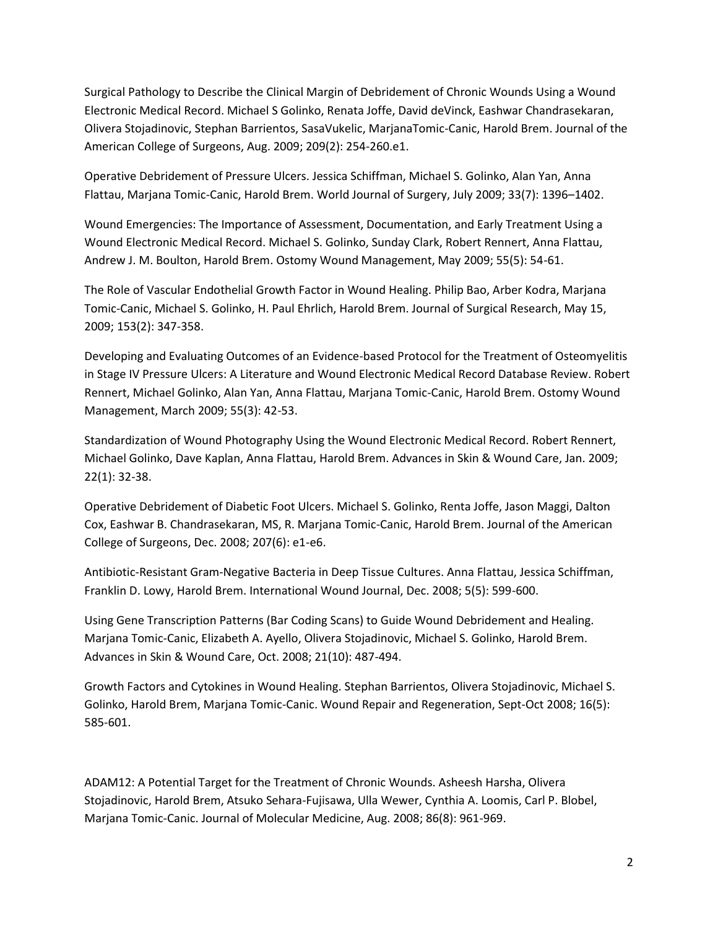Surgical Pathology to Describe the Clinical Margin of Debridement of Chronic Wounds Using a Wound Electronic Medical Record. Michael S Golinko, Renata Joffe, David deVinck, Eashwar Chandrasekaran, Olivera Stojadinovic, Stephan Barrientos, SasaVukelic, MarjanaTomic-Canic, Harold Brem. Journal of the American College of Surgeons, Aug. 2009; 209(2): 254-260.e1.

Operative Debridement of Pressure Ulcers. Jessica Schiffman, Michael S. Golinko, Alan Yan, Anna Flattau, Marjana Tomic-Canic, Harold Brem. World Journal of Surgery, July 2009; 33(7): 1396–1402.

Wound Emergencies: The Importance of Assessment, Documentation, and Early Treatment Using a Wound Electronic Medical Record. Michael S. Golinko, Sunday Clark, Robert Rennert, Anna Flattau, Andrew J. M. Boulton, Harold Brem. Ostomy Wound Management, May 2009; 55(5): 54-61.

The Role of Vascular Endothelial Growth Factor in Wound Healing. Philip Bao, Arber Kodra, Marjana Tomic-Canic, Michael S. Golinko, H. Paul Ehrlich, Harold Brem. Journal of Surgical Research, May 15, 2009; 153(2): 347-358.

Developing and Evaluating Outcomes of an Evidence-based Protocol for the Treatment of Osteomyelitis in Stage IV Pressure Ulcers: A Literature and Wound Electronic Medical Record Database Review. Robert Rennert, Michael Golinko, Alan Yan, Anna Flattau, Marjana Tomic-Canic, Harold Brem. Ostomy Wound Management, March 2009; 55(3): 42-53.

Standardization of Wound Photography Using the Wound Electronic Medical Record. Robert Rennert, Michael Golinko, Dave Kaplan, Anna Flattau, Harold Brem. Advances in Skin & Wound Care, Jan. 2009; 22(1): 32-38.

Operative Debridement of Diabetic Foot Ulcers. Michael S. Golinko, Renta Joffe, Jason Maggi, Dalton Cox, Eashwar B. Chandrasekaran, MS, R. Marjana Tomic-Canic, Harold Brem. Journal of the American College of Surgeons, Dec. 2008; 207(6): e1-e6.

Antibiotic-Resistant Gram-Negative Bacteria in Deep Tissue Cultures. Anna Flattau, Jessica Schiffman, Franklin D. Lowy, Harold Brem. International Wound Journal, Dec. 2008; 5(5): 599-600.

Using Gene Transcription Patterns (Bar Coding Scans) to Guide Wound Debridement and Healing. Marjana Tomic-Canic, Elizabeth A. Ayello, Olivera Stojadinovic, Michael S. Golinko, Harold Brem. Advances in Skin & Wound Care, Oct. 2008; 21(10): 487-494.

Growth Factors and Cytokines in Wound Healing. Stephan Barrientos, Olivera Stojadinovic, Michael S. Golinko, Harold Brem, Marjana Tomic-Canic. Wound Repair and Regeneration, Sept-Oct 2008; 16(5): 585-601.

ADAM12: A Potential Target for the Treatment of Chronic Wounds. Asheesh Harsha, Olivera Stojadinovic, Harold Brem, Atsuko Sehara-Fujisawa, Ulla Wewer, Cynthia A. Loomis, Carl P. Blobel, Marjana Tomic-Canic. Journal of Molecular Medicine, Aug. 2008; 86(8): 961-969.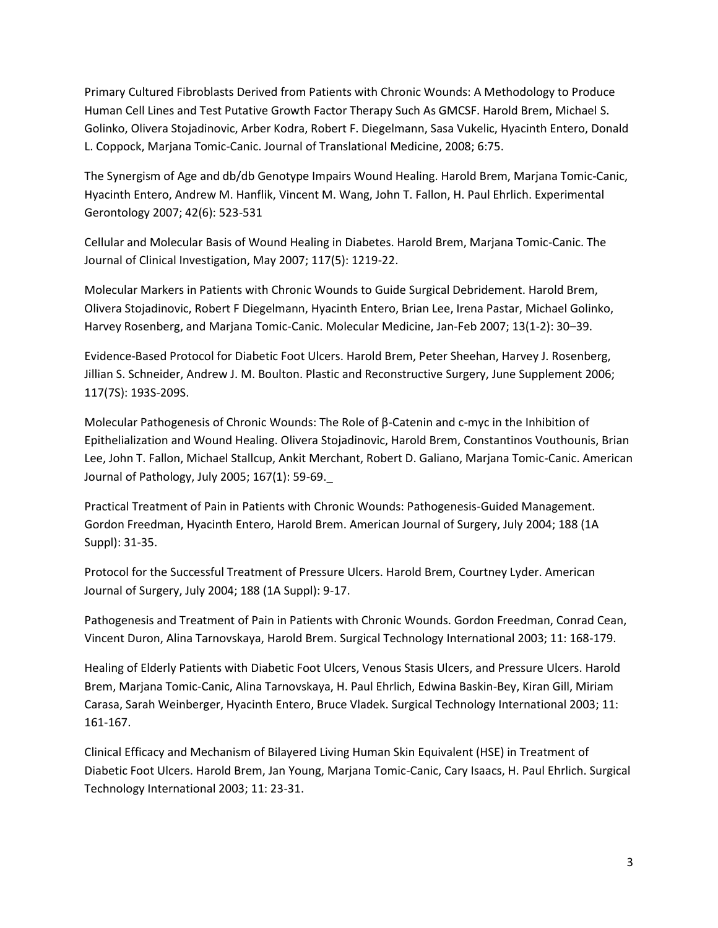Primary Cultured Fibroblasts Derived from Patients with Chronic Wounds: A Methodology to Produce Human Cell Lines and Test Putative Growth Factor Therapy Such As GMCSF. Harold Brem, Michael S. Golinko, Olivera Stojadinovic, Arber Kodra, Robert F. Diegelmann, Sasa Vukelic, Hyacinth Entero, Donald L. Coppock, Marjana Tomic-Canic. Journal of Translational Medicine, 2008; 6:75.

The Synergism of Age and db/db Genotype Impairs Wound Healing. Harold Brem, Marjana Tomic-Canic, Hyacinth Entero, Andrew M. Hanflik, Vincent M. Wang, John T. Fallon, H. Paul Ehrlich. Experimental Gerontology 2007; 42(6): 523-531

Cellular and Molecular Basis of Wound Healing in Diabetes. Harold Brem, Marjana Tomic-Canic. The Journal of Clinical Investigation, May 2007; 117(5): 1219-22.

Molecular Markers in Patients with Chronic Wounds to Guide Surgical Debridement. Harold Brem, Olivera Stojadinovic, Robert F Diegelmann, Hyacinth Entero, Brian Lee, Irena Pastar, Michael Golinko, Harvey Rosenberg, and Marjana Tomic-Canic. Molecular Medicine, Jan-Feb 2007; 13(1-2): 30–39.

Evidence-Based Protocol for Diabetic Foot Ulcers. Harold Brem, Peter Sheehan, Harvey J. Rosenberg, Jillian S. Schneider, Andrew J. M. Boulton. Plastic and Reconstructive Surgery, June Supplement 2006; 117(7S): 193S-209S.

Molecular Pathogenesis of Chronic Wounds: The Role of β-Catenin and c-myc in the Inhibition of Epithelialization and Wound Healing. Olivera Stojadinovic, Harold Brem, Constantinos Vouthounis, Brian Lee, John T. Fallon, Michael Stallcup, Ankit Merchant, Robert D. Galiano, Marjana Tomic-Canic. American Journal of Pathology, July 2005; 167(1): 59-69.\_

Practical Treatment of Pain in Patients with Chronic Wounds: Pathogenesis-Guided Management. Gordon Freedman, Hyacinth Entero, Harold Brem. American Journal of Surgery, July 2004; 188 (1A Suppl): 31-35.

Protocol for the Successful Treatment of Pressure Ulcers. Harold Brem, Courtney Lyder. American Journal of Surgery, July 2004; 188 (1A Suppl): 9-17.

Pathogenesis and Treatment of Pain in Patients with Chronic Wounds. Gordon Freedman, Conrad Cean, Vincent Duron, Alina Tarnovskaya, Harold Brem. Surgical Technology International 2003; 11: 168-179.

Healing of Elderly Patients with Diabetic Foot Ulcers, Venous Stasis Ulcers, and Pressure Ulcers. Harold Brem, Marjana Tomic-Canic, Alina Tarnovskaya, H. Paul Ehrlich, Edwina Baskin-Bey, Kiran Gill, Miriam Carasa, Sarah Weinberger, Hyacinth Entero, Bruce Vladek. Surgical Technology International 2003; 11: 161-167.

Clinical Efficacy and Mechanism of Bilayered Living Human Skin Equivalent (HSE) in Treatment of Diabetic Foot Ulcers. Harold Brem, Jan Young, Marjana Tomic-Canic, Cary Isaacs, H. Paul Ehrlich. Surgical Technology International 2003; 11: 23-31.